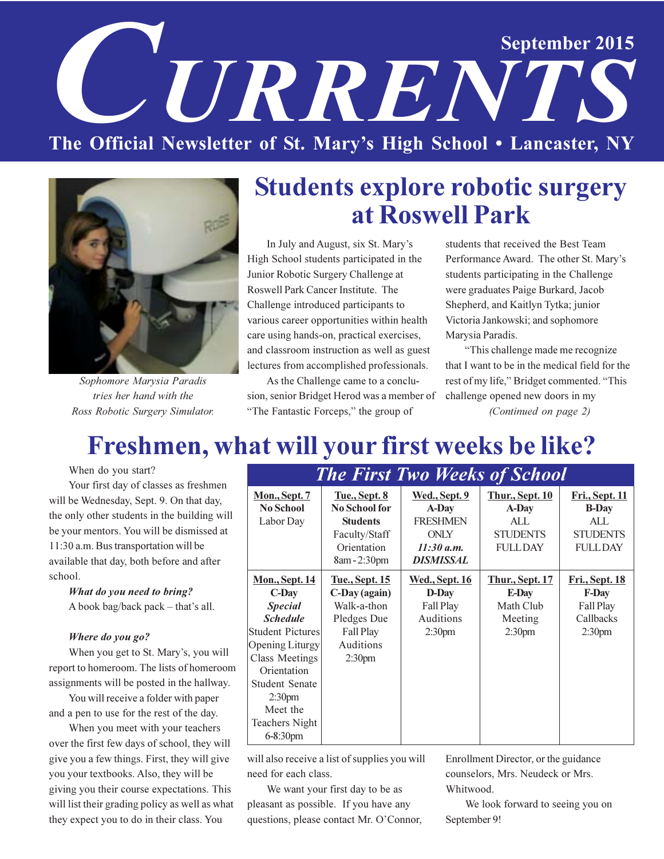# **September 2015 URRENT** The Official Newsletter of St. Mary's High School . Lancaster, NY



Sophomore Marysia Paradis tries her hand with the Ross Robotic Surgery Simulator.

### **Students explore robotic surgery** at Roswell Park

In July and August, six St. Mary's High School students participated in the Junior Robotic Surgery Challenge at Roswell Park Cancer Institute. The Challenge introduced participants to various career opportunities within health care using hands-on, practical exercises, and classroom instruction as well as guest lectures from accomplished professionals.

As the Challenge came to a conclusion, senior Bridget Herod was a member of "The Fantastic Forceps," the group of

students that received the Best Team Performance Award. The other St. Mary's students participating in the Challenge were graduates Paige Burkard, Jacob Shepherd, and Kaitlyn Tytka; junior Victoria Jankowski; and sophomore Marysia Paradis.

"This challenge made me recognize that I want to be in the medical field for the rest of my life," Bridget commented. "This challenge opened new doors in my (Continued on page 2)

# Freshmen, what will your first weeks be like?

When do you start?

Your first day of classes as freshmen will be Wednesday, Sept. 9. On that day, the only other students in the building will be your mentors. You will be dismissed at 11:30 a.m. Bus transportation will be available that day, both before and after school.

What do you need to bring? A book bag/back pack - that's all.

#### Where do you go?

When you get to St. Mary's, you will report to homeroom. The lists of homeroom assignments will be posted in the hallway.

You will receive a folder with paper and a pen to use for the rest of the day.

When you meet with your teachers over the first few days of school, they will give you a few things. First, they will give you your textbooks. Also, they will be giving you their course expectations. This will list their grading policy as well as what they expect you to do in their class. You

| <b>The First Two weeks of School</b> |                       |                       |                        |                        |  |  |  |  |  |
|--------------------------------------|-----------------------|-----------------------|------------------------|------------------------|--|--|--|--|--|
| <u>Mon., Sept. 7</u>                 | <b>Tue., Sept. 8</b>  | Wed., Sept. 9         | <b>Thur., Sept. 10</b> | Fri., Sept. 11         |  |  |  |  |  |
| <b>No School</b>                     | <b>No School for</b>  | A-Day                 | A-Day                  | <b>B-Day</b>           |  |  |  |  |  |
| Labor Day                            | <b>Students</b>       | <b>FRESHMEN</b>       | AI.                    | ALL                    |  |  |  |  |  |
|                                      | Faculty/Staff         | <b>ONLY</b>           | <b>STUDENTS</b>        | <b>STUDENTS</b>        |  |  |  |  |  |
|                                      | Orientation           | 11:30 a.m.            | <b>FULLDAY</b>         | <b>FULLDAY</b>         |  |  |  |  |  |
|                                      | 8am - 2:30pm          | <b>DISMISSAL</b>      |                        |                        |  |  |  |  |  |
| <b>Mon., Sept. 14</b>                | <u>Tue., Sept. 15</u> | <u>Wed., Sept. 16</u> | <b>Thur., Sept. 17</b> | <u> Fri., Sept. 18</u> |  |  |  |  |  |
| $C$ -Day                             | C-Day (again)         | D-Day                 | E-Day                  | <b>F-Day</b>           |  |  |  |  |  |
| <b>Special</b>                       | Walk-a-thon           | Fall Play             | Math Club              | Fall Play              |  |  |  |  |  |
| <b>Schedule</b>                      | Pledges Due           | Auditions             | Meeting                | Callbacks              |  |  |  |  |  |
| <b>Student Pictures</b>              | Fall Play             | 2:30 <sub>pm</sub>    | 2:30 <sub>pm</sub>     | 2:30 <sub>pm</sub>     |  |  |  |  |  |
| Opening Liturgy                      | Auditions             |                       |                        |                        |  |  |  |  |  |
| <b>Class Meetings</b>                | 2:30 <sub>pm</sub>    |                       |                        |                        |  |  |  |  |  |
| Orientation                          |                       |                       |                        |                        |  |  |  |  |  |
| <b>Student Senate</b>                |                       |                       |                        |                        |  |  |  |  |  |
| 2:30 <sub>pm</sub>                   |                       |                       |                        |                        |  |  |  |  |  |
| Meet the                             |                       |                       |                        |                        |  |  |  |  |  |
| <b>Teachers Night</b>                |                       |                       |                        |                        |  |  |  |  |  |
| $6 - 8:30$ pm                        |                       |                       |                        |                        |  |  |  |  |  |

will also receive a list of supplies you will need for each class.

We want your first day to be as pleasant as possible. If you have any questions, please contact Mr. O'Connor, Enrollment Director, or the guidance counselors, Mrs. Neudeck or Mrs. Whitwood.

We look forward to seeing you on September 9!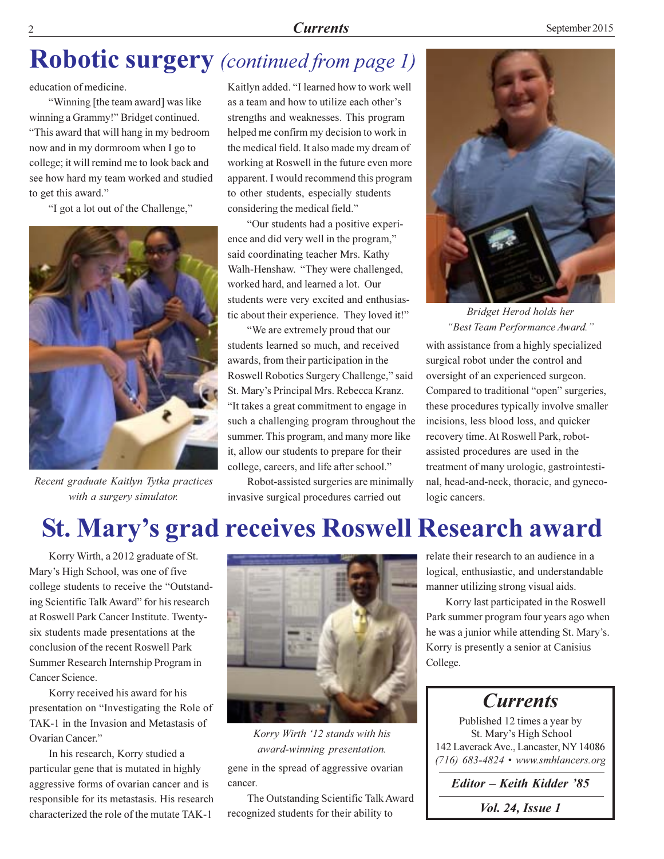#### **Currents**

### **Robotic surgery** (continued from page 1)

education of medicine.

"Winning [the team award] was like winning a Grammy!" Bridget continued. "This award that will hang in my bedroom now and in my dormroom when I go to college; it will remind me to look back and see how hard my team worked and studied to get this award."

"I got a lot out of the Challenge,"



Recent graduate Kaitlyn Tytka practices with a surgery simulator.

Kaitlyn added. "I learned how to work well as a team and how to utilize each other's strengths and weaknesses. This program helped me confirm my decision to work in the medical field. It also made my dream of working at Roswell in the future even more apparent. I would recommend this program to other students, especially students considering the medical field."

"Our students had a positive experience and did very well in the program," said coordinating teacher Mrs. Kathy Walh-Henshaw. "They were challenged, worked hard, and learned a lot. Our students were very excited and enthusiastic about their experience. They loved it!"

"We are extremely proud that our students learned so much, and received awards, from their participation in the Roswell Robotics Surgery Challenge," said St. Mary's Principal Mrs. Rebecca Kranz. "It takes a great commitment to engage in such a challenging program throughout the summer. This program, and many more like it, allow our students to prepare for their college, careers, and life after school."

Robot-assisted surgeries are minimally invasive surgical procedures carried out



Bridget Herod holds her "Best Team Performance Award."

with assistance from a highly specialized surgical robot under the control and oversight of an experienced surgeon. Compared to traditional "open" surgeries, these procedures typically involve smaller incisions, less blood loss, and quicker recovery time. At Roswell Park, robotassisted procedures are used in the treatment of many urologic, gastrointestinal, head-and-neck, thoracic, and gynecologic cancers.

### St. Mary's grad receives Roswell Research award

Korry Wirth, a 2012 graduate of St. Mary's High School, was one of five college students to receive the "Outstanding Scientific Talk Award" for his research at Roswell Park Cancer Institute. Twentysix students made presentations at the conclusion of the recent Roswell Park Summer Research Internship Program in Cancer Science.

Korry received his award for his presentation on "Investigating the Role of TAK-1 in the Invasion and Metastasis of Ovarian Cancer."

In his research, Korry studied a particular gene that is mutated in highly aggressive forms of ovarian cancer and is responsible for its metastasis. His research characterized the role of the mutate TAK-1



Korry Wirth '12 stands with his award-winning presentation. gene in the spread of aggressive ovarian cancer.

The Outstanding Scientific Talk Award recognized students for their ability to

relate their research to an audience in a logical, enthusiastic, and understandable manner utilizing strong visual aids.

Korry last participated in the Roswell Park summer program four years ago when he was a junior while attending St. Mary's. Korry is presently a senior at Canisius College.

**Currents** 

Published 12 times a year by St. Mary's High School 142 Laverack Ave., Lancaster, NY 14086  $(716)$  683-4824 • www.smhlancers.org

Editor - Keith Kidder '85

*Vol. 24, Issue 1*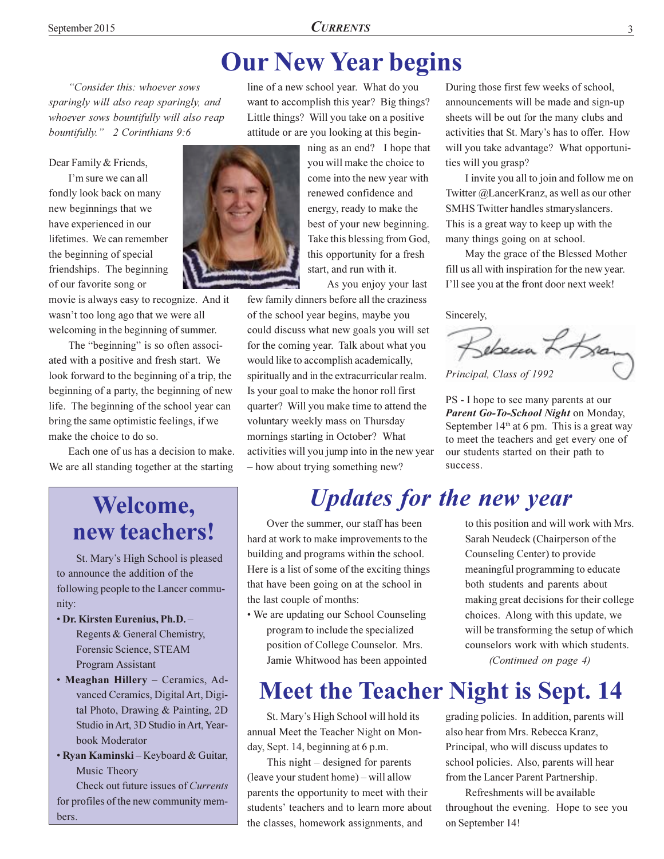### **Our New Year begins**

line of a new school year. What do you

want to accomplish this year? Big things?

Little things? Will you take on a positive

"Consider this: whoever sows sparingly will also reap sparingly, and whoever sows bountifully will also reap bountifully." 2 Corinthians 9:6

Dear Family & Friends,

I'm sure we can all fondly look back on many new beginnings that we have experienced in our lifetimes. We can remember the beginning of special friendships. The beginning of our favorite song or

movie is always easy to recognize. And it wasn't too long ago that we were all welcoming in the beginning of summer.

The "beginning" is so often associated with a positive and fresh start. We look forward to the beginning of a trip, the beginning of a party, the beginning of new life. The beginning of the school year can bring the same optimistic feelings, if we make the choice to do so.

Each one of us has a decision to make. We are all standing together at the starting



attitude or are you looking at this beginning as an end? I hope that you will make the choice to come into the new year with

renewed confidence and energy, ready to make the best of your new beginning. Take this blessing from God, this opportunity for a fresh start, and run with it.

As you enjoy your last

few family dinners before all the craziness of the school year begins, maybe you could discuss what new goals you will set for the coming year. Talk about what you would like to accomplish academically, spiritually and in the extracurricular realm. Is your goal to make the honor roll first quarter? Will you make time to attend the voluntary weekly mass on Thursday mornings starting in October? What activities will you jump into in the new year - how about trying something new?

### **Updates for the new year**

Over the summer, our staff has been hard at work to make improvements to the building and programs within the school. Here is a list of some of the exciting things that have been going on at the school in the last couple of months:

• We are updating our School Counseling program to include the specialized position of College Counselor. Mrs. Jamie Whitwood has been appointed

# **Meet the Teacher Night is Sept. 14**

St. Mary's High School will hold its annual Meet the Teacher Night on Monday, Sept. 14, beginning at 6 p.m.

This night  $-$  designed for parents (leave your student home) – will allow parents the opportunity to meet with their students' teachers and to learn more about the classes, homework assignments, and

During those first few weeks of school, announcements will be made and sign-up sheets will be out for the many clubs and activities that St. Mary's has to offer. How will you take advantage? What opportunities will you grasp?

I invite you all to join and follow me on Twitter @LancerKranz, as well as our other SMHS Twitter handles stmaryslancers. This is a great way to keep up with the many things going on at school.

May the grace of the Blessed Mother fill us all with inspiration for the new year. I'll see you at the front door next week!

Sincerely,

Bebecan L Kram Principal, Class of 1992

PS - I hope to see many parents at our Parent Go-To-School Night on Monday, September  $14<sup>th</sup>$  at 6 pm. This is a great way to meet the teachers and get every one of our students started on their path to success

> to this position and will work with Mrs. Sarah Neudeck (Chairperson of the Counseling Center) to provide meaningful programming to educate both students and parents about making great decisions for their college choices. Along with this update, we will be transforming the setup of which counselors work with which students. (Continued on page 4)

grading policies. In addition, parents will also hear from Mrs. Rebecca Kranz, Principal, who will discuss updates to school policies. Also, parents will hear from the Lancer Parent Partnership.

Refreshments will be available throughout the evening. Hope to see you on September 14!

### Welcome, new teachers!

St. Mary's High School is pleased to announce the addition of the following people to the Lancer community:

- Dr. Kirsten Eurenius, Ph.D. -Regents & General Chemistry, Forensic Science, STEAM **Program Assistant**
- Meaghan Hillery Ceramics, Advanced Ceramics, Digital Art, Digital Photo, Drawing & Painting, 2D Studio in Art. 3D Studio in Art. Yearbook Moderator
- Ryan Kaminski Keyboard & Guitar, Music Theory

Check out future issues of Currents for profiles of the new community members.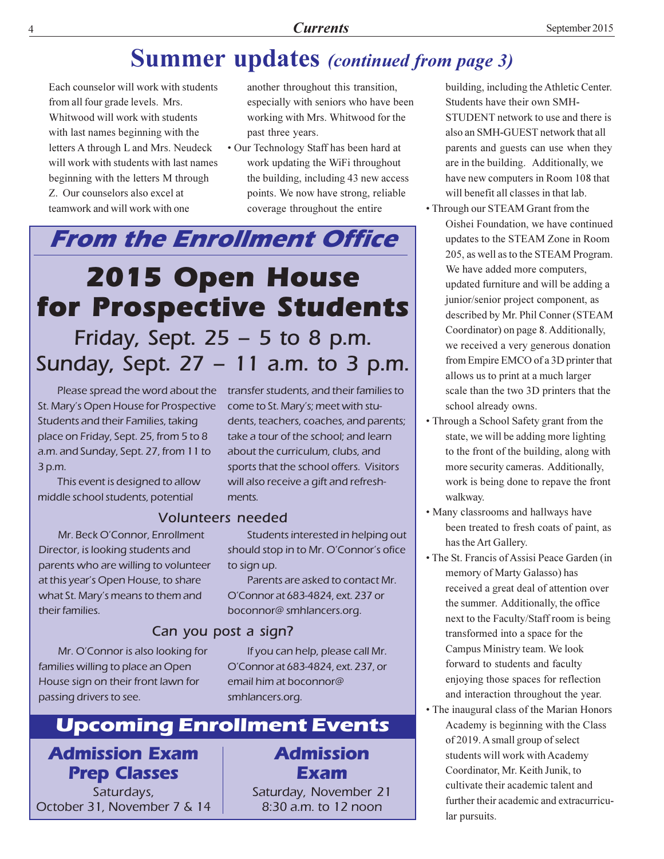### **Summer updates** (continued from page 3)

Each counselor will work with students from all four grade levels. Mrs. Whitwood will work with students with last names beginning with the letters A through L and Mrs. Neudeck will work with students with last names beginning with the letters M through Z. Our counselors also excel at teamwork and will work with one

- another throughout this transition, especially with seniors who have been working with Mrs. Whitwood for the past three years.
- Our Technology Staff has been hard at work updating the WiFi throughout the building, including 43 new access points. We now have strong, reliable coverage throughout the entire

## **From the Enrollment Office 2015 Open House** for Prospective Students Friday, Sept.  $25 - 5$  to 8 p.m. Sunday, Sept. 27 - 11 a.m. to 3 p.m.

St. Mary's Open House for Prospective Students and their Families, taking place on Friday, Sept. 25, from 5 to 8 a.m. and Sunday, Sept. 27, from 11 to  $3 p.m.$ 

This event is designed to allow middle school students, potential

Mr. Beck O'Connor, Enrollment Director, is looking students and parents who are willing to volunteer at this year's Open House, to share what St. Mary's means to them and their families.

#### Mr. O'Connor is also looking for families willing to place an Open House sign on their front lawn for passing drivers to see.

Please spread the word about the transfer students, and their families to come to St. Mary's; meet with students, teachers, coaches, and parents; take a tour of the school; and learn about the curriculum, clubs, and sports that the school offers. Visitors will also receive a gift and refreshments.

#### **Volunteers needed**

Students interested in helping out should stop in to Mr. O'Connor's ofice to sign up.

Parents are asked to contact Mr. O'Connor at 683-4824, ext. 237 or boconnor@smhlancers.org.

#### Can you post a sign?

If you can help, please call Mr. O'Connor at 683-4824, ext. 237, or email him at boconnor@ smhlancers.org.

#### **Upcoming Enrollment Events**

### **Admission Exam Prep Classes**

Saturdays, October 31, November 7 & 14 **Admission** Exam

Saturday, November 21 8:30 a.m. to 12 noon

building, including the Athletic Center. Students have their own SMH-STUDENT network to use and there is also an SMH-GUEST network that all parents and guests can use when they are in the building. Additionally, we have new computers in Room 108 that will benefit all classes in that lab.

- Through our STEAM Grant from the Oishei Foundation, we have continued updates to the STEAM Zone in Room 205, as well as to the STEAM Program. We have added more computers, updated furniture and will be adding a junior/senior project component, as described by Mr. Phil Conner (STEAM Coordinator) on page 8. Additionally, we received a very generous donation from Empire EMCO of a 3D printer that allows us to print at a much larger scale than the two 3D printers that the school already owns.
- Through a School Safety grant from the state, we will be adding more lighting to the front of the building, along with more security cameras. Additionally, work is being done to repave the front walkway.
- Many classrooms and hallways have been treated to fresh coats of paint, as has the Art Gallery.
- The St. Francis of Assisi Peace Garden (in memory of Marty Galasso) has received a great deal of attention over the summer. Additionally, the office next to the Faculty/Staff room is being transformed into a space for the Campus Ministry team. We look forward to students and faculty enjoying those spaces for reflection and interaction throughout the year.
- The inaugural class of the Marian Honors Academy is beginning with the Class of 2019. A small group of select students will work with Academy Coordinator, Mr. Keith Junik, to cultivate their academic talent and further their academic and extracurricular pursuits.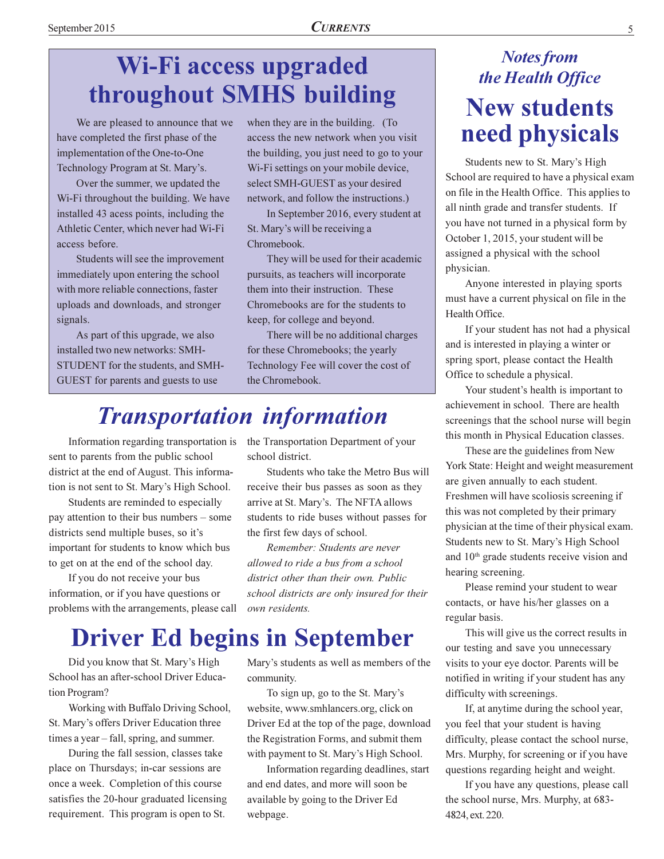### Wi-Fi access upgraded throughout SMHS building

We are pleased to announce that we have completed the first phase of the implementation of the One-to-One Technology Program at St. Mary's.

Over the summer, we updated the Wi-Fi throughout the building. We have installed 43 acess points, including the Athletic Center, which never had Wi-Fi access before.

Students will see the improvement immediately upon entering the school with more reliable connections, faster uploads and downloads, and stronger signals.

As part of this upgrade, we also installed two new networks: SMH-STUDENT for the students, and SMH-GUEST for parents and guests to use

when they are in the building. (To access the new network when you visit the building, you just need to go to your Wi-Fi settings on your mobile device, select SMH-GUEST as your desired network, and follow the instructions.)

In September 2016, every student at St. Mary's will be receiving a Chromebook.

They will be used for their academic pursuits, as teachers will incorporate them into their instruction. These Chromebooks are for the students to keep, for college and beyond.

There will be no additional charges for these Chromebooks; the yearly Technology Fee will cover the cost of the Chromebook.

### **Transportation information**

Information regarding transportation is sent to parents from the public school district at the end of August. This information is not sent to St. Mary's High School.

Students are reminded to especially pay attention to their bus numbers – some districts send multiple buses, so it's important for students to know which bus to get on at the end of the school day.

If you do not receive your bus information, or if you have questions or problems with the arrangements, please call the Transportation Department of your school district.

Students who take the Metro Bus will receive their bus passes as soon as they arrive at St. Mary's. The NFTA allows students to ride buses without passes for the first few days of school.

Remember: Students are never allowed to ride a bus from a school district other than their own. Public school districts are only insured for their own residents.

### **Driver Ed begins in September**

Did you know that St. Mary's High School has an after-school Driver Education Program?

Working with Buffalo Driving School, St. Mary's offers Driver Education three times a year – fall, spring, and summer.

During the fall session, classes take place on Thursdays; in-car sessions are once a week. Completion of this course satisfies the 20-hour graduated licensing requirement. This program is open to St.

Mary's students as well as members of the community.

To sign up, go to the St. Mary's website, www.smhlancers.org, click on Driver Ed at the top of the page, download the Registration Forms, and submit them with payment to St. Mary's High School.

Information regarding deadlines, start and end dates, and more will soon be available by going to the Driver Ed webpage.

### **Notes from** the Health Office **New students** need physicals

Students new to St. Mary's High School are required to have a physical exam on file in the Health Office. This applies to all ninth grade and transfer students. If you have not turned in a physical form by October 1, 2015, your student will be assigned a physical with the school physician.

Anyone interested in playing sports must have a current physical on file in the Health Office.

If your student has not had a physical and is interested in playing a winter or spring sport, please contact the Health Office to schedule a physical.

Your student's health is important to achievement in school. There are health screenings that the school nurse will begin this month in Physical Education classes.

These are the guidelines from New York State: Height and weight measurement are given annually to each student. Freshmen will have scoliosis screening if this was not completed by their primary physician at the time of their physical exam. Students new to St. Mary's High School and 10<sup>th</sup> grade students receive vision and hearing screening.

Please remind your student to wear contacts, or have his/her glasses on a regular basis.

This will give us the correct results in our testing and save you unnecessary visits to your eye doctor. Parents will be notified in writing if your student has any difficulty with screenings.

If, at anytime during the school year, you feel that your student is having difficulty, please contact the school nurse, Mrs. Murphy, for screening or if you have questions regarding height and weight.

If you have any questions, please call the school nurse, Mrs. Murphy, at 683-4824, ext. 220.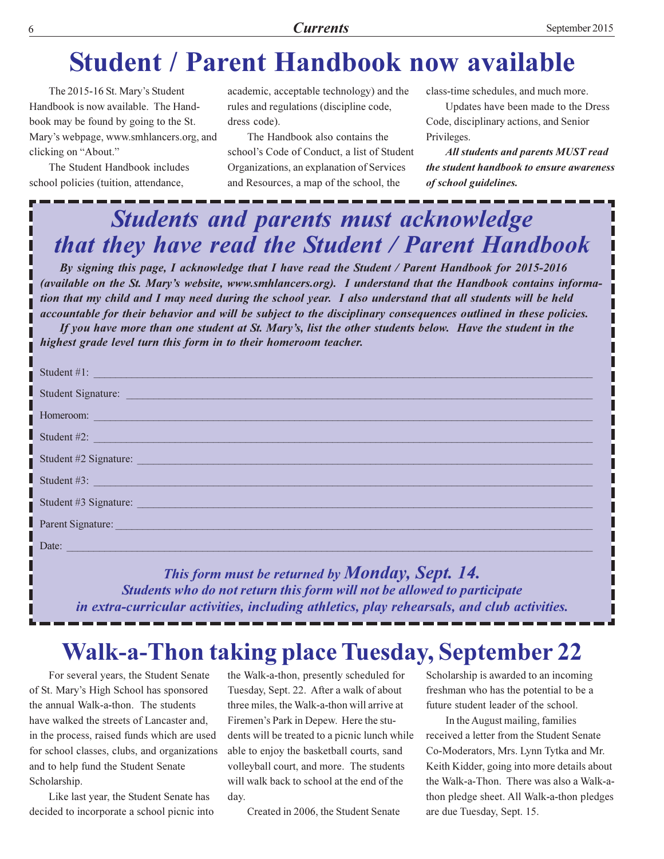### **Student / Parent Handbook now available**

The 2015-16 St. Mary's Student Handbook is now available. The Handbook may be found by going to the St. Mary's webpage, www.smhlancers.org, and clicking on "About."

The Student Handbook includes school policies (tuition, attendance,

academic, acceptable technology) and the rules and regulations (discipline code, dress code).

The Handbook also contains the school's Code of Conduct, a list of Student Organizations, an explanation of Services and Resources, a map of the school, the

class-time schedules, and much more.

Updates have been made to the Dress Code, disciplinary actions, and Senior Privileges.

**All students and parents MUST read** the student handbook to ensure awareness of school guidelines.

### **Students and parents must acknowledge** that they have read the Student / Parent Handbook

By signing this page, I acknowledge that I have read the Student / Parent Handbook for 2015-2016 (available on the St. Mary's website, www.smhlancers.org). I understand that the Handbook contains information that my child and I may need during the school year. I also understand that all students will be held accountable for their behavior and will be subject to the disciplinary consequences outlined in these policies.

If you have more than one student at St. Mary's, list the other students below. Have the student in the highest grade level turn this form in to their homeroom teacher.

| Student #1:                                                                                                                                                                                                                                                                                      |
|--------------------------------------------------------------------------------------------------------------------------------------------------------------------------------------------------------------------------------------------------------------------------------------------------|
| Student Signature: National Communication of the Communication of the Communication of the Communication of the Communication of the Communication of the Communication of the Communication of the Communication of the Commu                                                                   |
| Homeroom: and the contract of the contract of the contract of the contract of the contract of the contract of the contract of the contract of the contract of the contract of the contract of the contract of the contract of                                                                    |
| Student #2: $\blacksquare$                                                                                                                                                                                                                                                                       |
| Student #2 Signature:                                                                                                                                                                                                                                                                            |
| Student #3: New York: New York: New York: New York: New York: New York: New York: New York: New York: New York: New York: New York: New York: New York: New York: New York: New York: New York: New York: New York: New York:                                                                    |
| Student #3 Signature: <u>Contractor</u> Contractor Contractor Contractor Contractor Contractor Contractor Contractor Contractor Contractor Contractor Contractor Contractor Contractor Contractor Contractor Contractor Contractor                                                               |
| Parent Signature: and the contract of the contract of the contract of the contract of the contract of the contract of the contract of the contract of the contract of the contract of the contract of the contract of the cont                                                                   |
| Date: https://www.archive.com/default.com/default.com/default.com/default.com/default.com/default.com/default.com/default.com/default.com/default.com/default.com/default.com/default.com/default.com/default.com/default.com/                                                                   |
| $\mathbf{r}$ and $\mathbf{r}$ and $\mathbf{r}$ and $\mathbf{r}$ and $\mathbf{r}$ and $\mathbf{r}$ and $\mathbf{r}$ and $\mathbf{r}$ and $\mathbf{r}$ and $\mathbf{r}$ and $\mathbf{r}$ and $\mathbf{r}$ and $\mathbf{r}$ and $\mathbf{r}$ and $\mathbf{r}$ and $\mathbf{r}$ and $\mathbf{r}$ and |

This form must be returned by **Monday**, **Sept.** 14. Students who do not return this form will not be allowed to participate in extra-curricular activities, including athletics, play rehearsals, and club activities.

### **Walk-a-Thon taking place Tuesday, September 22**

For several years, the Student Senate of St. Mary's High School has sponsored the annual Walk-a-thon. The students have walked the streets of Lancaster and, in the process, raised funds which are used for school classes, clubs, and organizations and to help fund the Student Senate Scholarship.

Like last year, the Student Senate has decided to incorporate a school picnic into the Walk-a-thon, presently scheduled for Tuesday, Sept. 22. After a walk of about three miles, the Walk-a-thon will arrive at Firemen's Park in Depew. Here the students will be treated to a picnic lunch while able to enjoy the basketball courts, sand volleyball court, and more. The students will walk back to school at the end of the day.

Created in 2006, the Student Senate

Scholarship is awarded to an incoming freshman who has the potential to be a future student leader of the school.

In the August mailing, families received a letter from the Student Senate Co-Moderators, Mrs. Lynn Tytka and Mr. Keith Kidder, going into more details about the Walk-a-Thon. There was also a Walk-athon pledge sheet. All Walk-a-thon pledges are due Tuesday, Sept. 15.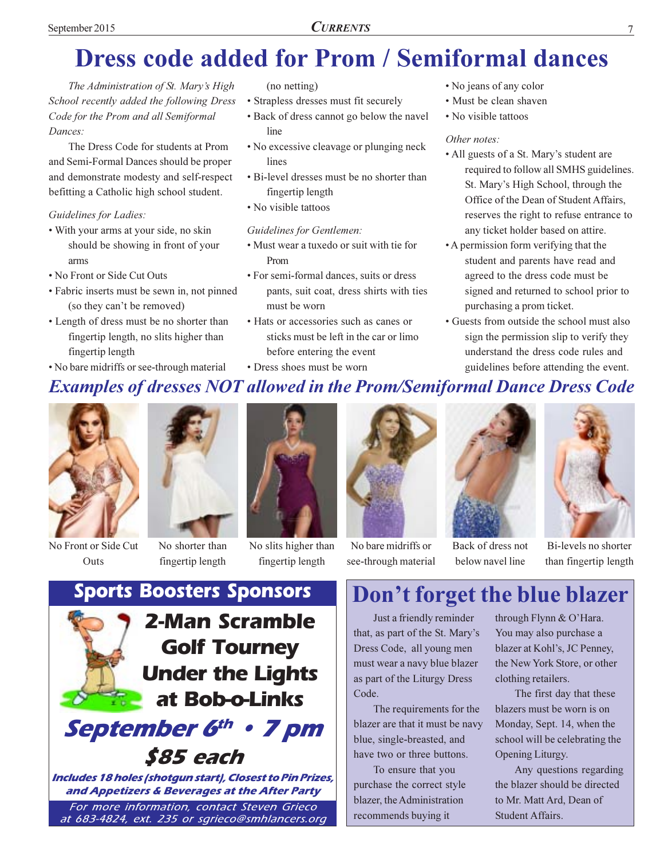## **Dress code added for Prom / Semiformal dances**

The Administration of St. Mary's High School recently added the following Dress Code for the Prom and all Semiformal Dances:

The Dress Code for students at Prom and Semi-Formal Dances should be proper and demonstrate modesty and self-respect befitting a Catholic high school student.

#### Guidelines for Ladies:

- With your arms at your side, no skin should be showing in front of your arms
- No Front or Side Cut Outs
- Fabric inserts must be sewn in, not pinned (so they can't be removed)
- Length of dress must be no shorter than fingertip length, no slits higher than fingertip length
- No bare midriffs or see-through material

#### $(no$  netting)

- Strapless dresses must fit securely
- Back of dress cannot go below the navel line
- No excessive cleavage or plunging neck lines
- · Bi-level dresses must be no shorter than fingertip length
- No visible tattoos

#### **Guidelines for Gentlemen:**

- Must wear a tuxedo or suit with tie for Prom
- For semi-formal dances, suits or dress pants, suit coat, dress shirts with ties must be worn
- Hats or accessories such as canes or sticks must be left in the car or limo before entering the event • Dress shoes must be worn
- No jeans of any color
- · Must be clean shaven
- No visible tattoos

#### Other notes:

- All guests of a St. Mary's student are required to follow all SMHS guidelines. St. Mary's High School, through the Office of the Dean of Student Affairs, reserves the right to refuse entrance to any ticket holder based on attire.
- A permission form verifying that the student and parents have read and agreed to the dress code must be signed and returned to school prior to purchasing a prom ticket.
- Guests from outside the school must also sign the permission slip to verify they understand the dress code rules and guidelines before attending the event.
- **Examples of dresses NOT allowed in the Prom/Semiformal Dance Dress Code**



No Front or Side Cut Outs



fingertip length

No slits higher than fingertip length



see-through material



Back of dress not below navel line



Bi-levels no shorter than fingertip length

### **Sports Boosters Sponsors 2-Man Scramble Golf Tourney Under the Lights** at Bob-o-Links September 6th • 7 pm \$85 each

Includes 18 holes (shotgun start), Closest to Pin Prizes, and Appetizers & Beverages at the After Party

For more information, contact Steven Grieco at 683-4824, ext. 235 or sgrieco@smhlancers.org

### Don't forget the blue blazer

Just a friendly reminder that, as part of the St. Mary's Dress Code, all young men must wear a navy blue blazer as part of the Liturgy Dress Code.

The requirements for the blazer are that it must be navy blue, single-breasted, and have two or three buttons.

To ensure that you purchase the correct style blazer, the Administration recommends buying it

through Flynn & O'Hara. You may also purchase a blazer at Kohl's, JC Penney, the New York Store, or other clothing retailers.

The first day that these blazers must be worn is on Monday, Sept. 14, when the school will be celebrating the Opening Liturgy.

Any questions regarding the blazer should be directed to Mr. Matt Ard, Dean of Student Affairs.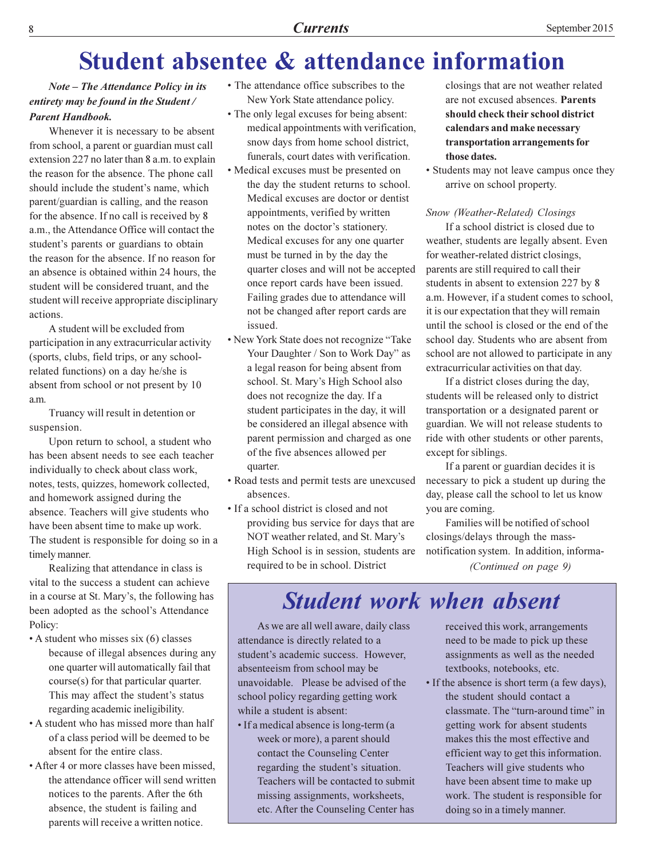### **Student absentee & attendance information**

#### **Note – The Attendance Policy in its** entirety may be found in the Student / **Parent Handbook.**

Whenever it is necessary to be absent from school, a parent or guardian must call extension 227 no later than 8 a.m. to explain the reason for the absence. The phone call should include the student's name, which parent/guardian is calling, and the reason for the absence. If no call is received by 8 a.m., the Attendance Office will contact the student's parents or guardians to obtain the reason for the absence. If no reason for an absence is obtained within 24 hours, the student will be considered truant, and the student will receive appropriate disciplinary actions.

A student will be excluded from participation in any extracurricular activity (sports, clubs, field trips, or any schoolrelated functions) on a day he/she is absent from school or not present by 10 a.m.

Truancy will result in detention or suspension.

Upon return to school, a student who has been absent needs to see each teacher individually to check about class work. notes, tests, quizzes, homework collected, and homework assigned during the absence. Teachers will give students who have been absent time to make up work. The student is responsible for doing so in a timely manner.

Realizing that attendance in class is vital to the success a student can achieve in a course at St. Mary's, the following has been adopted as the school's Attendance Policy:

- A student who misses six (6) classes because of illegal absences during any one quarter will automatically fail that course(s) for that particular quarter. This may affect the student's status regarding academic ineligibility.
- A student who has missed more than half of a class period will be deemed to be absent for the entire class.
- After 4 or more classes have been missed. the attendance officer will send written notices to the parents. After the 6th absence, the student is failing and parents will receive a written notice.
- The attendance office subscribes to the New York State attendance policy.
- The only legal excuses for being absent: medical appointments with verification, snow days from home school district, funerals, court dates with verification.
- Medical excuses must be presented on the day the student returns to school. Medical excuses are doctor or dentist appointments, verified by written notes on the doctor's stationery. Medical excuses for any one quarter must be turned in by the day the quarter closes and will not be accepted once report cards have been issued. Failing grades due to attendance will not be changed after report cards are issued.
- New York State does not recognize "Take Your Daughter / Son to Work Day" as a legal reason for being absent from school. St. Mary's High School also does not recognize the day. If a student participates in the day, it will be considered an illegal absence with parent permission and charged as one of the five absences allowed per quarter.
- Road tests and permit tests are unexcused absences.
- If a school district is closed and not providing bus service for days that are NOT weather related, and St. Mary's High School is in session, students are required to be in school. District

closings that are not weather related are not excused absences. Parents should check their school district calendars and make necessary transportation arrangements for those dates.

• Students may not leave campus once they arrive on school property.

#### Snow (Weather-Related) Closings

If a school district is closed due to weather, students are legally absent. Even for weather-related district closings, parents are still required to call their students in absent to extension 227 by 8 a.m. However, if a student comes to school, it is our expectation that they will remain until the school is closed or the end of the school day. Students who are absent from school are not allowed to participate in any extracurricular activities on that day.

If a district closes during the day, students will be released only to district transportation or a designated parent or guardian. We will not release students to ride with other students or other parents. except for siblings.

If a parent or guardian decides it is necessary to pick a student up during the day, please call the school to let us know you are coming.

Families will be notified of school closings/delays through the massnotification system. In addition, informa-(Continued on page 9)

**Student work when absent** 

As we are all well aware, daily class attendance is directly related to a student's academic success. However, absenteeism from school may be unavoidable. Please be advised of the school policy regarding getting work while a student is absent:

• If a medical absence is long-term (a week or more), a parent should contact the Counseling Center regarding the student's situation. Teachers will be contacted to submit missing assignments, worksheets, etc. After the Counseling Center has

received this work, arrangements need to be made to pick up these assignments as well as the needed textbooks, notebooks, etc.

• If the absence is short term (a few days), the student should contact a classmate. The "turn-around time" in getting work for absent students makes this the most effective and efficient way to get this information. Teachers will give students who have been absent time to make up work. The student is responsible for doing so in a timely manner.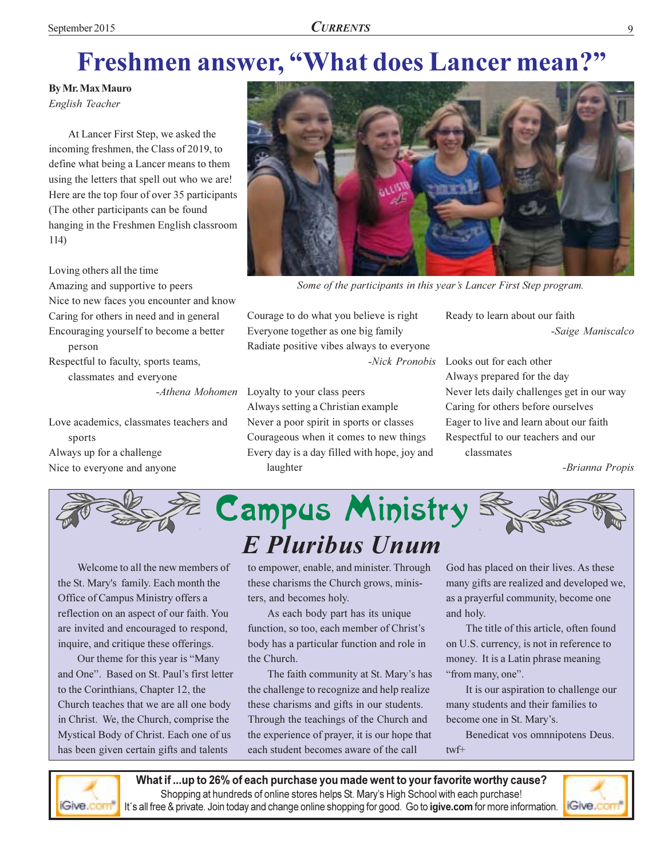## Freshmen answer, "What does Lancer mean?"

**By Mr. Max Mauro** 

English Teacher

At Lancer First Step, we asked the incoming freshmen, the Class of 2019, to define what being a Lancer means to them using the letters that spell out who we are! Here are the top four of over 35 participants (The other participants can be found hanging in the Freshmen English classroom  $114)$ 

Loving others all the time Amazing and supportive to peers Nice to new faces you encounter and know Caring for others in need and in general Encouraging yourself to become a better person Respectful to faculty, sports teams,

classmates and everyone

-Athena Mohomen

Love academics, classmates teachers and sports Always up for a challenge Nice to everyone and anyone



Some of the participants in this year's Lancer First Step program.

Courage to do what you believe is right Everyone together as one big family Radiate positive vibes always to everyone -Nick Pronobis

Loyalty to your class peers Always setting a Christian example Never a poor spirit in sports or classes Courageous when it comes to new things Every day is a day filled with hope, joy and laughter

Ready to learn about our faith -Saige Maniscalco

Looks out for each other Always prepared for the day Never lets daily challenges get in our way Caring for others before ourselves Eager to live and learn about our faith Respectful to our teachers and our classmates

-Brianna Propis



Welcome to all the new members of the St. Mary's family. Each month the Office of Campus Ministry offers a reflection on an aspect of our faith. You are invited and encouraged to respond, inquire, and critique these offerings.

Our theme for this year is "Many and One". Based on St. Paul's first letter to the Corinthians, Chapter 12, the Church teaches that we are all one body in Christ. We, the Church, comprise the Mystical Body of Christ. Each one of us has been given certain gifts and talents

to empower, enable, and minister. Through these charisms the Church grows, ministers, and becomes holy.

As each body part has its unique function, so too, each member of Christ's body has a particular function and role in the Church.

The faith community at St. Mary's has the challenge to recognize and help realize these charisms and gifts in our students. Through the teachings of the Church and the experience of prayer, it is our hope that each student becomes aware of the call

God has placed on their lives. As these many gifts are realized and developed we, as a prayerful community, become one and holy.

The title of this article, often found on U.S. currency, is not in reference to money. It is a Latin phrase meaning "from many, one".

It is our aspiration to challenge our many students and their families to become one in St. Mary's.

Benedicat vos omnnipotens Deus.  $twf+$ 



What if ...up to 26% of each purchase you made went to your favorite worthy cause? Shopping at hundreds of online stores helps St. Mary's High School with each purchase! It's all free & private. Join today and change online shopping for good. Go to igive.com for more information.

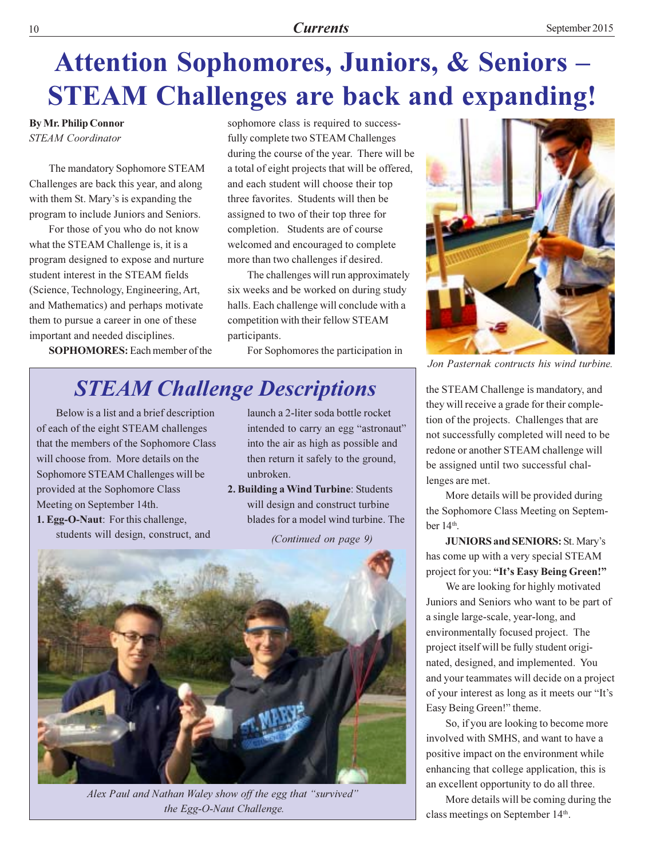## Attention Sophomores, Juniors, & Seniors -**STEAM Challenges are back and expanding!**

**By Mr. Philip Connor STEAM** Coordinator

The mandatory Sophomore STEAM Challenges are back this year, and along with them St. Mary's is expanding the program to include Juniors and Seniors.

For those of you who do not know what the STEAM Challenge is, it is a program designed to expose and nurture student interest in the STEAM fields (Science, Technology, Engineering, Art, and Mathematics) and perhaps motivate them to pursue a career in one of these important and needed disciplines.

**SOPHOMORES:** Each member of the

sophomore class is required to successfully complete two STEAM Challenges during the course of the year. There will be a total of eight projects that will be offered, and each student will choose their top three favorites. Students will then be assigned to two of their top three for completion. Students are of course welcomed and encouraged to complete more than two challenges if desired.

The challenges will run approximately six weeks and be worked on during study halls. Each challenge will conclude with a competition with their fellow STEAM participants.

For Sophomores the participation in

### **STEAM Challenge Descriptions**

Below is a list and a brief description of each of the eight STEAM challenges that the members of the Sophomore Class will choose from. More details on the Sophomore STEAM Challenges will be provided at the Sophomore Class Meeting on September 14th.

1. Egg-O-Naut: For this challenge, students will design, construct, and launch a 2-liter soda bottle rocket intended to carry an egg "astronaut" into the air as high as possible and then return it safely to the ground, unbroken.

2. Building a Wind Turbine: Students will design and construct turbine blades for a model wind turbine. The

(Continued on page 9)



Alex Paul and Nathan Waley show off the egg that "survived" the Egg-O-Naut Challenge.



Jon Pasternak contructs his wind turbine.

the STEAM Challenge is mandatory, and they will receive a grade for their completion of the projects. Challenges that are not successfully completed will need to be redone or another STEAM challenge will be assigned until two successful challenges are met.

More details will be provided during the Sophomore Class Meeting on September  $14<sup>th</sup>$ .

**JUNIORS and SENIORS: St. Mary's** has come up with a very special STEAM project for you: "It's Easy Being Green!"

We are looking for highly motivated Juniors and Seniors who want to be part of a single large-scale, year-long, and environmentally focused project. The project itself will be fully student originated, designed, and implemented. You and your teammates will decide on a project of your interest as long as it meets our "It's Easy Being Green!" theme.

So, if you are looking to become more involved with SMHS, and want to have a positive impact on the environment while enhancing that college application, this is an excellent opportunity to do all three.

More details will be coming during the class meetings on September 14th.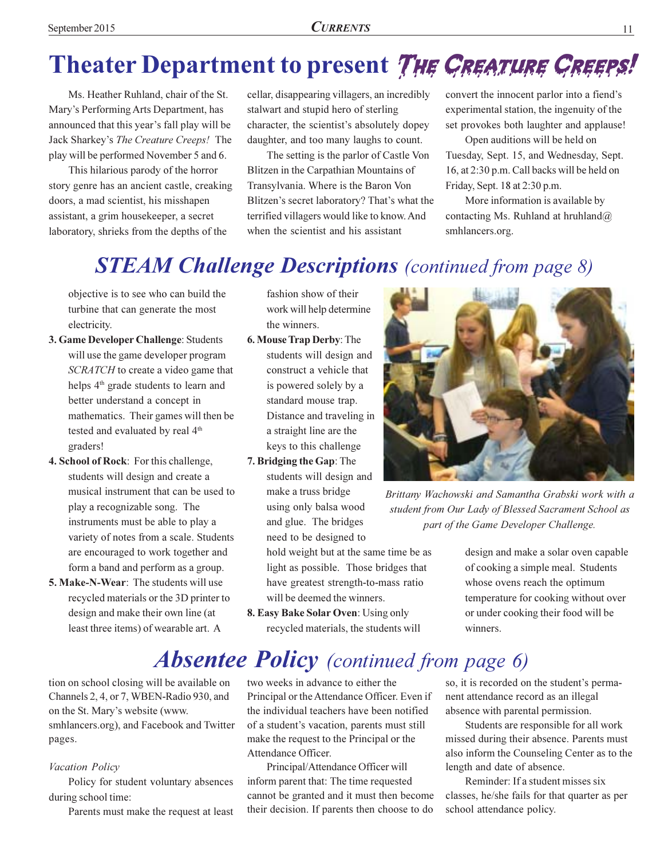## Theater Department to present THE CREATURE CREEPS!

Ms. Heather Ruhland, chair of the St. Mary's Performing Arts Department, has announced that this year's fall play will be Jack Sharkey's The Creature Creeps! The play will be performed November 5 and 6.

This hilarious parody of the horror story genre has an ancient castle, creaking doors, a mad scientist, his misshapen assistant, a grim housekeeper, a secret laboratory, shrieks from the depths of the

cellar, disappearing villagers, an incredibly stalwart and stupid hero of sterling character, the scientist's absolutely dopey daughter, and too many laughs to count.

The setting is the parlor of Castle Von Blitzen in the Carpathian Mountains of Transylvania. Where is the Baron Von Blitzen's secret laboratory? That's what the terrified villagers would like to know. And when the scientist and his assistant

convert the innocent parlor into a fiend's experimental station, the ingenuity of the set provokes both laughter and applause!

Open auditions will be held on Tuesday, Sept. 15, and Wednesday, Sept. 16, at 2:30 p.m. Call backs will be held on Friday, Sept. 18 at 2:30 p.m.

More information is available by contacting Ms. Ruhland at hruhland $\omega$ smhlancers.org.

### **STEAM Challenge Descriptions** (continued from page 8)

objective is to see who can build the turbine that can generate the most electricity.

- 3. Game Developer Challenge: Students will use the game developer program SCRATCH to create a video game that helps 4<sup>th</sup> grade students to learn and better understand a concept in mathematics. Their games will then be tested and evaluated by real 4<sup>th</sup> graders!
- 4. School of Rock: For this challenge, students will design and create a musical instrument that can be used to play a recognizable song. The instruments must be able to play a variety of notes from a scale. Students are encouraged to work together and form a band and perform as a group.
- 5. Make-N-Wear: The students will use recycled materials or the 3D printer to design and make their own line (at least three items) of wearable art. A

fashion show of their work will help determine the winners.

- 6. Mouse Trap Derby: The students will design and construct a vehicle that is powered solely by a standard mouse trap. Distance and traveling in a straight line are the keys to this challenge
- 7. Bridging the Gap: The students will design and make a truss bridge using only balsa wood and glue. The bridges need to be designed to

hold weight but at the same time be as light as possible. Those bridges that have greatest strength-to-mass ratio will be deemed the winners.

8. Easy Bake Solar Oven: Using only recycled materials, the students will



Brittany Wachowski and Samantha Grabski work with a student from Our Lady of Blessed Sacrament School as part of the Game Developer Challenge.

design and make a solar oven capable of cooking a simple meal. Students whose ovens reach the optimum temperature for cooking without over or under cooking their food will be winners.

### **Absentee Policy** (continued from page 6)

tion on school closing will be available on Channels 2, 4, or 7, WBEN-Radio 930, and on the St. Mary's website (www. smhlancers.org), and Facebook and Twitter pages.

#### Vacation Policy

Policy for student voluntary absences during school time:

Parents must make the request at least

two weeks in advance to either the Principal or the Attendance Officer. Even if the individual teachers have been notified of a student's vacation, parents must still make the request to the Principal or the Attendance Officer.

Principal/Attendance Officer will inform parent that: The time requested cannot be granted and it must then become their decision. If parents then choose to do

so, it is recorded on the student's permanent attendance record as an illegal absence with parental permission.

Students are responsible for all work missed during their absence. Parents must also inform the Counseling Center as to the length and date of absence.

Reminder: If a student misses six classes, he/she fails for that quarter as per school attendance policy.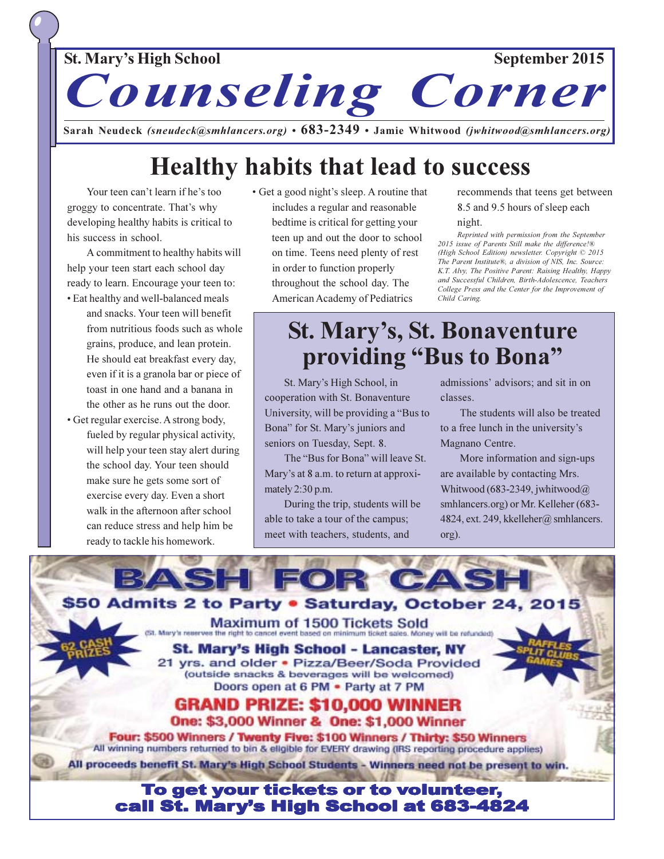### **St. Mary's High School** September 2015 Counseling Corner

Sarah Neudeck (sneudeck@smhlancers.org)  $\cdot$  683-2349  $\cdot$  Jamie Whitwood (jwhitwood@smhlancers.org)

### **Healthy habits that lead to success**

Your teen can't learn if he's too groggy to concentrate. That's why developing healthy habits is critical to his success in school.

A commitment to healthy habits will help your teen start each school day ready to learn. Encourage your teen to:

- Eat healthy and well-balanced meals and snacks. Your teen will benefit from nutritious foods such as whole grains, produce, and lean protein. He should eat breakfast every day, even if it is a granola bar or piece of toast in one hand and a banana in the other as he runs out the door.
- Get regular exercise. A strong body, fueled by regular physical activity, will help your teen stay alert during the school day. Your teen should make sure he gets some sort of exercise every day. Even a short walk in the afternoon after school can reduce stress and help him be ready to tackle his homework.

• Get a good night's sleep. A routine that includes a regular and reasonable bedtime is critical for getting your teen up and out the door to school on time. Teens need plenty of rest in order to function properly throughout the school day. The American Academy of Pediatrics

recommends that teens get between 8.5 and 9.5 hours of sleep each

#### night.

Reprinted with permission from the September 2015 issue of Parents Still make the difference!® (High School Edition) newsletter. Copyright © 2015 The Parent Institute®, a division of NIS, Inc. Source: K.T. Alvy, The Positive Parent: Raising Healthy, Happy and Successful Children, Birth-Adolescence, Teachers College Press and the Center for the Improvement of Child Caring.

### **St. Mary's, St. Bonaventure** providing "Bus to Bona"

St. Mary's High School, in cooperation with St. Bonaventure University, will be providing a "Bus to" Bona" for St. Mary's juniors and seniors on Tuesday, Sept. 8.

The "Bus for Bona" will leave St. Mary's at 8 a.m. to return at approximately  $2:30$  p.m.

During the trip, students will be able to take a tour of the campus; meet with teachers, students, and

admissions' advisors; and sit in on classes

The students will also be treated to a free lunch in the university's Magnano Centre.

More information and sign-ups are available by contacting Mrs. Whitwood (683-2349, jwhitwood $@$ smhlancers.org) or Mr. Kelleher (683-4824, ext. 249, kkelleher@ smhlancers. org).

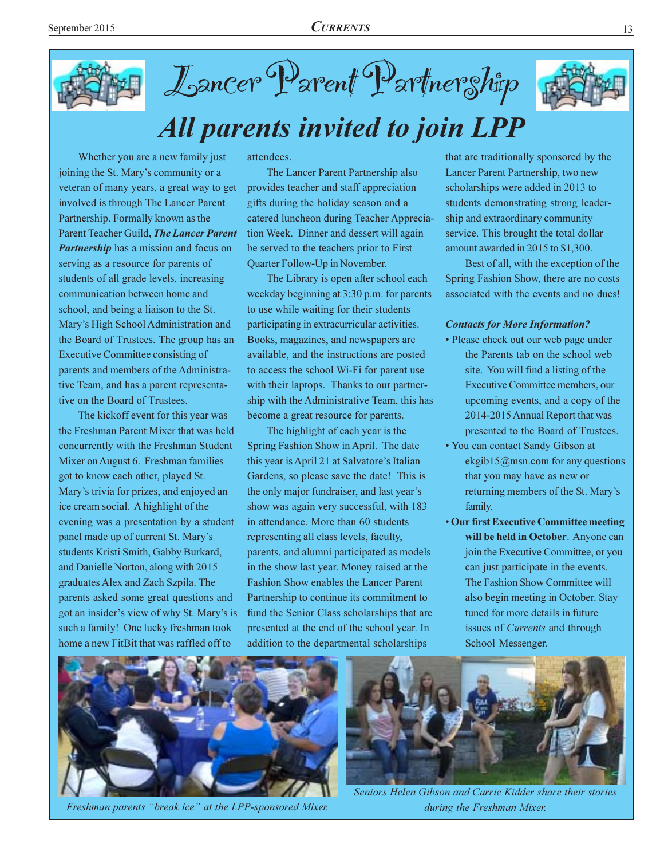



## **All parents invited to join LPP**

Whether you are a new family just joining the St. Mary's community or a veteran of many years, a great way to get involved is through The Lancer Parent Partnership. Formally known as the Parent Teacher Guild, The Lancer Parent **Partnership** has a mission and focus on serving as a resource for parents of students of all grade levels, increasing communication between home and school, and being a liaison to the St. Mary's High School Administration and the Board of Trustees. The group has an **Executive Committee consisting of** parents and members of the Administrative Team, and has a parent representative on the Board of Trustees.

The kickoff event for this year was the Freshman Parent Mixer that was held concurrently with the Freshman Student Mixer on August 6. Freshman families got to know each other, played St. Mary's trivia for prizes, and enjoyed an ice cream social. A highlight of the evening was a presentation by a student panel made up of current St. Mary's students Kristi Smith, Gabby Burkard, and Danielle Norton, along with 2015 graduates Alex and Zach Szpila. The parents asked some great questions and got an insider's view of why St. Mary's is such a family! One lucky freshman took home a new FitBit that was raffled off to

attendees.

The Lancer Parent Partnership also provides teacher and staff appreciation gifts during the holiday season and a catered luncheon during Teacher Appreciation Week. Dinner and dessert will again be served to the teachers prior to First Quarter Follow-Up in November.

The Library is open after school each weekday beginning at 3:30 p.m. for parents to use while waiting for their students participating in extracurricular activities. Books, magazines, and newspapers are available, and the instructions are posted to access the school Wi-Fi for parent use with their laptops. Thanks to our partnership with the Administrative Team, this has become a great resource for parents.

The highlight of each year is the Spring Fashion Show in April. The date this year is April 21 at Salvatore's Italian Gardens, so please save the date! This is the only major fundraiser, and last year's show was again very successful, with 183 in attendance. More than 60 students representing all class levels, faculty, parents, and alumni participated as models in the show last year. Money raised at the **Fashion Show enables the Lancer Parent** Partnership to continue its commitment to fund the Senior Class scholarships that are presented at the end of the school year. In addition to the departmental scholarships

that are traditionally sponsored by the Lancer Parent Partnership, two new scholarships were added in 2013 to students demonstrating strong leadership and extraordinary community service. This brought the total dollar amount awarded in 2015 to \$1,300.

Best of all, with the exception of the Spring Fashion Show, there are no costs associated with the events and no dues!

#### **Contacts for More Information?**

- Please check out our web page under the Parents tab on the school web site. You will find a listing of the Executive Committee members, our upcoming events, and a copy of the 2014-2015 Annual Report that was presented to the Board of Trustees.
- You can contact Sandy Gibson at ekgib15@msn.com for any questions that you may have as new or returning members of the St. Mary's family.
- Our first Executive Committee meeting will be held in October. Anyone can join the Executive Committee, or you can just participate in the events. The Fashion Show Committee will also begin meeting in October. Stay tuned for more details in future issues of *Currents* and through School Messenger.



Freshman parents "break ice" at the LPP-sponsored Mixer.



Seniors Helen Gibson and Carrie Kidder share their stories during the Freshman Mixer.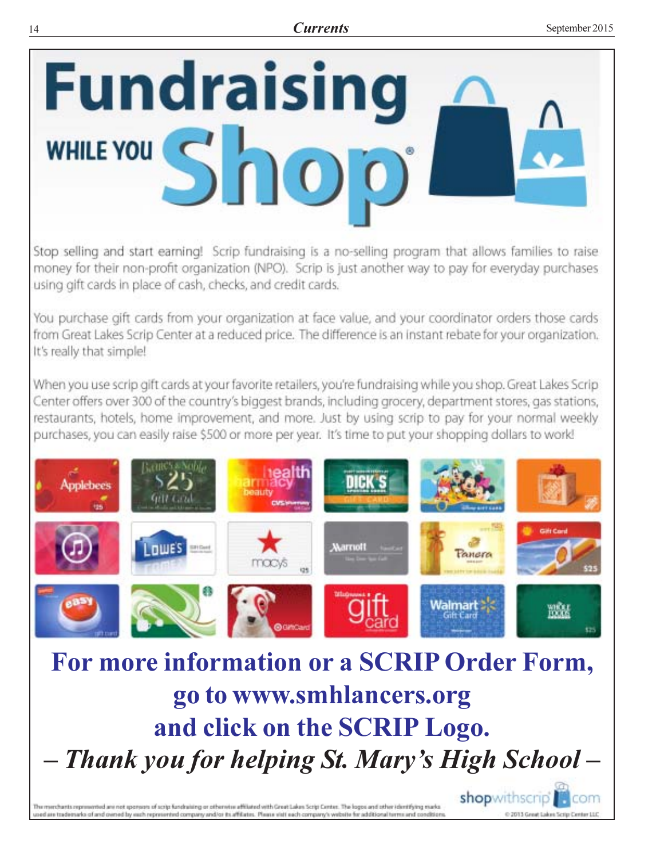

Stop selling and start earning! Scrip fundraising is a no-selling program that allows families to raise money for their non-profit organization (NPO). Scrip is just another way to pay for everyday purchases using gift cards in place of cash, checks, and credit cards.

You purchase gift cards from your organization at face value, and your coordinator orders those cards from Great Lakes Scrip Center at a reduced price. The difference is an instant rebate for your organization. It's really that simple!

When you use scrip gift cards at your favorite retailers, you're fundraising while you shop. Great Lakes Scrip Center offers over 300 of the country's biggest brands, including grocery, department stores, gas stations, restaurants, hotels, home improvement, and more. Just by using scrip to pay for your normal weekly purchases, you can easily raise \$500 or more per year. It's time to put your shopping dollars to work!



For more information or a SCRIP Order Form, go to www.smhlancers.org and click on the SCRIP Logo. - Thank you for helping St. Mary's High School -

The memberts represented are not sponsors of scrip fundraising or otherwise affiliated with Great Lakes Scrip Center. The logos and other identifying marks used are trademarks of and owned by each represented company and/or its affiliates. Please visit each company's website for additional terms and coods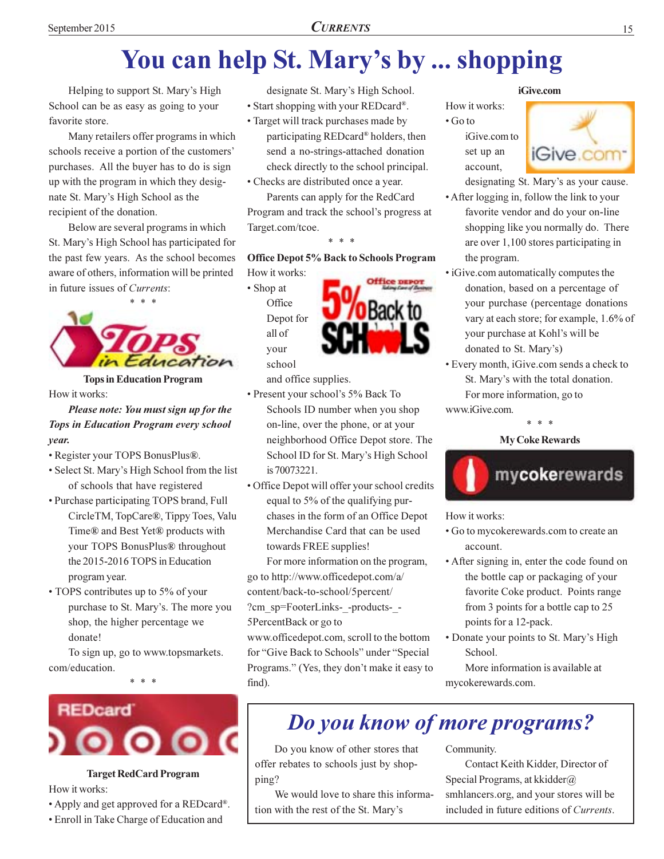# You can help St. Mary's by ... shopping

Helping to support St. Mary's High School can be as easy as going to your favorite store.

Many retailers offer programs in which schools receive a portion of the customers' purchases. All the buyer has to do is sign up with the program in which they designate St. Mary's High School as the recipient of the donation.

Below are several programs in which St. Mary's High School has participated for the past few years. As the school becomes aware of others, information will be printed in future issues of Currents:



**Tops in Education Program** How it works:

#### Please note: You must sign up for the **Tops in Education Program every school** vear.

- Register your TOPS BonusPlus®.
- Select St. Mary's High School from the list of schools that have registered
- Purchase participating TOPS brand, Full CircleTM, TopCare®, Tippy Toes, Valu Time® and Best Yet® products with your TOPS BonusPlus® throughout the 2015-2016 TOPS in Education program year.
- TOPS contributes up to 5% of your purchase to St. Mary's. The more you shop, the higher percentage we donate!

To sign up, go to www.topsmarkets. com/education.

 $* *$ 



#### **Target RedCard Program**

How it works:

- Apply and get approved for a REDcard®.
- Enroll in Take Charge of Education and

designate St. Mary's High School. • Start shopping with your REDcard®.

• Target will track purchases made by

participating REDcard® holders, then send a no-strings-attached donation check directly to the school principal.

• Checks are distributed once a year.

Parents can apply for the RedCard Program and track the school's progress at Target.com/tcoe.

#### **Office Depot 5% Back to Schools Program**

How it works: • Shop at Office Depot for all of your school



and office supplies.

- Present your school's 5% Back To Schools ID number when you shop on-line, over the phone, or at your neighborhood Office Depot store. The School ID for St. Mary's High School is 70073221.
- · Office Depot will offer your school credits equal to 5% of the qualifying purchases in the form of an Office Depot Merchandise Card that can be used towards FREE supplies!

For more information on the program, go to http://www.officedepot.com/a/

content/back-to-school/5percent/

?cm\_sp=FooterLinks-\_-products-\_-5PercentBack or go to

www.officedepot.com, scroll to the bottom for "Give Back to Schools" under "Special Programs." (Yes, they don't make it easy to find).

#### iGive.com

How it works:  $\cdot$  Go to iGive.com to set up an

account.



designating St. Mary's as your cause.

- After logging in, follow the link to your favorite vendor and do your on-line shopping like you normally do. There are over 1,100 stores participating in the program.
- iGive.com automatically computes the donation, based on a percentage of your purchase (percentage donations vary at each store; for example, 1.6% of your purchase at Kohl's will be donated to St. Mary's)
- Every month, iGive.com sends a check to St. Mary's with the total donation.

For more information, go to www.iGive.com.





How it works:

- Go to mycokerewards.com to create an account.
- After signing in, enter the code found on the bottle cap or packaging of your favorite Coke product. Points range from 3 points for a bottle cap to 25 points for a 12-pack.
- Donate your points to St. Mary's High School.

More information is available at mycokerewards.com.

### Do you know of more programs?

Do you know of other stores that offer rebates to schools just by shopping?

We would love to share this information with the rest of the St. Mary's

Community.

Contact Keith Kidder, Director of Special Programs, at kkidder@ smhlancers.org, and your stores will be included in future editions of Currents.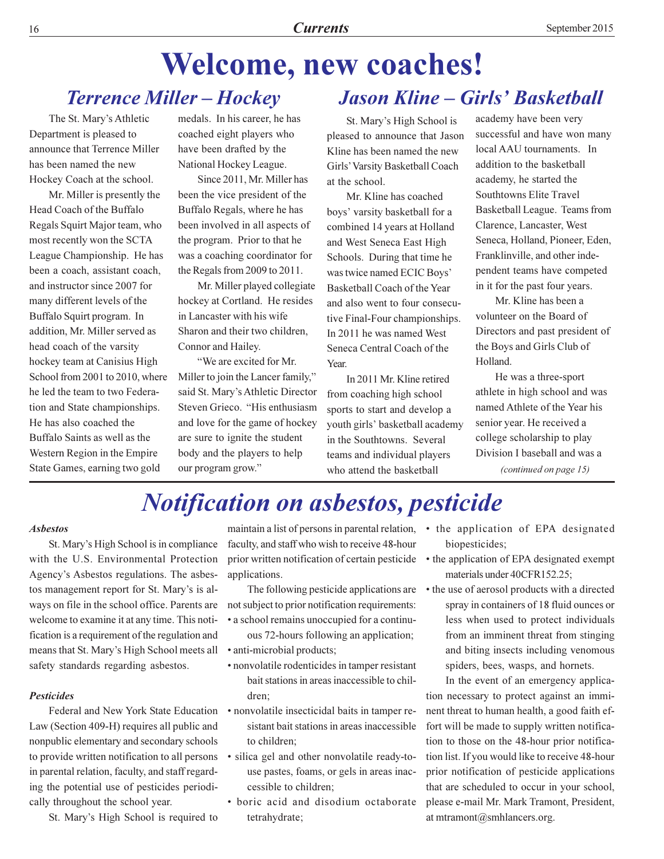#### **Welcome, new coaches! Terrence Miller - Hockey Jason Kline – Girls' Basketball**

The St. Mary's Athletic Department is pleased to announce that Terrence Miller has been named the new Hockey Coach at the school.

Mr. Miller is presently the Head Coach of the Buffalo Regals Squirt Major team, who most recently won the SCTA League Championship. He has been a coach, assistant coach. and instructor since 2007 for many different levels of the Buffalo Squirt program. In addition, Mr. Miller served as head coach of the varsity hockey team at Canisius High School from 2001 to 2010, where he led the team to two Federation and State championships. He has also coached the Buffalo Saints as well as the Western Region in the Empire State Games, earning two gold

medals. In his career, he has coached eight players who have been drafted by the National Hockey League.

Since 2011, Mr. Miller has been the vice president of the Buffalo Regals, where he has been involved in all aspects of the program. Prior to that he was a coaching coordinator for the Regals from 2009 to 2011.

Mr. Miller played collegiate hockey at Cortland. He resides in Lancaster with his wife Sharon and their two children. Connor and Hailey.

"We are excited for Mr. Miller to join the Lancer family," said St. Mary's Athletic Director Steven Grieco. "His enthusiasm and love for the game of hockey are sure to ignite the student body and the players to help our program grow."

St. Mary's High School is pleased to announce that Jason Kline has been named the new Girls' Varsity Basketball Coach at the school.

Mr. Kline has coached boys' varsity basketball for a combined 14 years at Holland and West Seneca East High Schools. During that time he was twice named ECIC Boys' Basketball Coach of the Year and also went to four consecutive Final-Four championships. In 2011 he was named West Seneca Central Coach of the Year.

In 2011 Mr. Kline retired from coaching high school sports to start and develop a youth girls' basketball academy in the Southtowns. Several teams and individual players who attend the basketball

academy have been very successful and have won many local AAU tournaments. In addition to the basketball academy, he started the **Southtowns Elite Travel** Basketball League. Teams from Clarence, Lancaster, West Seneca, Holland, Pioneer, Eden. Franklinville, and other independent teams have competed in it for the past four years.

Mr. Kline has been a volunteer on the Board of Directors and past president of the Boys and Girls Club of Holland.

He was a three-sport athlete in high school and was named Athlete of the Year his senior year. He received a college scholarship to play Division I baseball and was a (continued on page 15)

### **Notification on asbestos, pesticide**

#### **Ashestos**

St. Mary's High School is in compliance with the U.S. Environmental Protection Agency's Asbestos regulations. The asbestos management report for St. Mary's is always on file in the school office. Parents are welcome to examine it at any time. This notification is a requirement of the regulation and means that St. Mary's High School meets all safety standards regarding asbestos.

#### **Pesticides**

Federal and New York State Education Law (Section 409-H) requires all public and nonpublic elementary and secondary schools to provide written notification to all persons in parental relation, faculty, and staff regarding the potential use of pesticides periodically throughout the school year.

St. Mary's High School is required to

maintain a list of persons in parental relation, faculty, and staff who wish to receive 48-hour prior written notification of certain pesticide applications.

The following pesticide applications are not subject to prior notification requirements: • a school remains unoccupied for a continu-

ous 72-hours following an application; · anti-microbial products;

- nonvolatile rodenticides in tamper resistant bait stations in areas inaccessible to chil-
- dren: · nonvolatile insecticidal baits in tamper resistant bait stations in areas inaccessible to children:
- · silica gel and other nonvolatile ready-touse pastes, foams, or gels in areas inaccessible to children:
- boric acid and disodium octaborate tetrahydrate;
- the application of EPA designated biopesticides;
- the application of EPA designated exempt materials under 40CFR152.25;
- the use of aerosol products with a directed spray in containers of 18 fluid ounces or less when used to protect individuals from an imminent threat from stinging and biting insects including venomous spiders, bees, wasps, and hornets.

In the event of an emergency application necessary to protect against an imminent threat to human health, a good faith effort will be made to supply written notification to those on the 48-hour prior notification list. If you would like to receive 48-hour prior notification of pesticide applications that are scheduled to occur in your school, please e-mail Mr. Mark Tramont, President, at mtramont@smhlancers.org.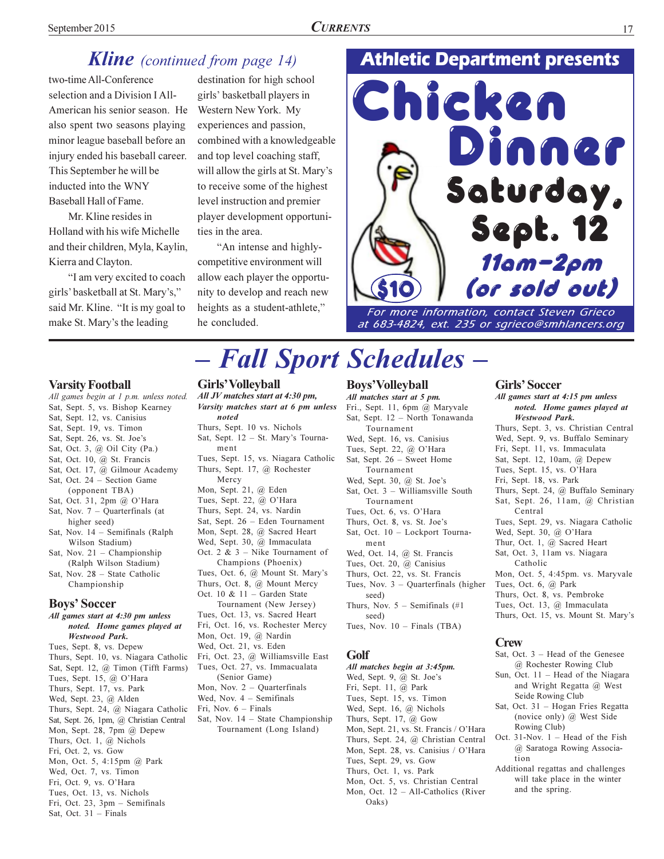#### **Kline** (continued from page 14)

two-time All-Conference selection and a Division I All-American his senior season. He also spent two seasons playing minor league baseball before an injury ended his baseball career. This September he will be inducted into the WNY Baseball Hall of Fame.

Mr. Kline resides in Holland with his wife Michelle and their children, Myla, Kaylin, Kierra and Clayton.

"I am very excited to coach girls' basketball at St. Mary's," said Mr. Kline. "It is my goal to make St. Mary's the leading

destination for high school girls' basketball players in Western New York. My experiences and passion, combined with a knowledgeable and top level coaching staff, will allow the girls at St. Mary's to receive some of the highest level instruction and premier player development opportunities in the area.

"An intense and highlycompetitive environment will allow each player the opportunity to develop and reach new heights as a student-athlete," he concluded.

### **Athletic Department presents**



at 683-4824, ext. 235 or sgrieco@smhlancers.org

#### **Varsity Football**

All games begin at 1 p.m. unless noted.

- Sat, Sept. 5, vs. Bishop Kearney
- Sat, Sept. 12, vs. Canisius
- Sat, Sept. 19, vs. Timon
- Sat, Sept. 26, vs. St. Joe's Sat, Oct. 3, @ Oil City (Pa.)
- Sat, Oct. 10, @ St. Francis
- Sat, Oct. 17, @ Gilmour Academy
- Sat, Oct. 24 Section Game
- (opponent TBA)
- Sat, Oct. 31, 2pm @ O'Hara
- Sat, Nov.  $7 -$  Quarterfinals (at higher seed)
- Sat, Nov. 14 Semifinals (Ralph Wilson Stadium)
- Sat, Nov.  $21$  Championship (Ralph Wilson Stadium) Sat, Nov. 28 - State Catholic
- Championship

#### **Boys' Soccer**

All games start at 4:30 pm unless noted. Home games played at **Westwood Park.** Tues, Sept. 8, vs. Depew

Thurs, Sept. 10, vs. Niagara Catholic Sat, Sept. 12, @ Timon (Tifft Farms) Tues, Sept. 15, @ O'Hara Thurs, Sept. 17, vs. Park Wed, Sept. 23, @ Alden Thurs, Sept. 24, @ Niagara Catholic Sat, Sept. 26, 1pm, @ Christian Central Mon, Sept. 28, 7pm @ Depew Thurs, Oct. 1, @ Nichols Fri, Oct. 2, vs. Gow Mon, Oct. 5, 4:15pm @ Park Wed, Oct. 7, vs. Timon Fri, Oct. 9, vs. O'Hara Tues, Oct. 13, vs. Nichols Fri, Oct. 23, 3pm - Semifinals

#### Sat, Oct.  $31$  – Finals

#### Girls' Volleyball

All JV matches start at 4:30 pm, Varsity matches start at 6 pm unless noted Thurs, Sept. 10 vs. Nichols Sat, Sept. 12 - St. Mary's Tournament Tues, Sept. 15, vs. Niagara Catholic Thurs, Sept. 17, @ Rochester Mercy Mon, Sept. 21, @ Eden Tues, Sept. 22, @ O'Hara Thurs, Sept. 24, vs. Nardin Sat, Sept. 26 - Eden Tournament Mon, Sept. 28, @ Sacred Heart Wed, Sept. 30, @ Immaculata Oct. 2 &  $3$  – Nike Tournament of Champions (Phoenix) Tues, Oct. 6, @ Mount St. Mary's Thurs, Oct. 8, @ Mount Mercy Oct. 10 &  $11$  – Garden State Tournament (New Jersey) Tues, Oct. 13, vs. Sacred Heart Fri, Oct. 16, vs. Rochester Mercy Mon, Oct. 19, @ Nardin Wed, Oct. 21, vs. Eden Fri, Oct. 23, @ Williamsville East Tues, Oct. 27, vs. Immacualata (Senior Game) Mon, Nov.  $2 -$  Quarterfinals Wed, Nov.  $4$  – Semifinals Fri, Nov.  $6$  – Finals Sat, Nov.  $14$  – State Championship Tournament (Long Island)

#### **Boys'Volleyball**

**Fall Sport Schedules -**

All matches start at 5 pm. Fri., Sept. 11, 6pm @ Maryvale Sat, Sept. 12 - North Tonawanda Tournament Wed, Sept. 16, vs. Canisius Tues, Sept. 22, @ O'Hara Sat, Sept. 26 - Sweet Home Tournament Wed, Sept. 30, @ St. Joe's Sat, Oct. 3 - Williamsville South Tournament Tues, Oct. 6, vs. O'Hara Thurs, Oct. 8, vs. St. Joe's Sat, Oct. 10 - Lockport Tournament Wed, Oct. 14, @ St. Francis Tues, Oct. 20, @ Canisius Thurs, Oct. 22, vs. St. Francis Tues, Nov.  $3$  – Quarterfinals (higher seed) Thurs, Nov.  $5$  - Semifinals (#1) seed) Tues, Nov.  $10$  – Finals (TBA)

#### Golf

All matches begin at 3:45pm. Wed, Sept. 9, @ St. Joe's Fri, Sept. 11, @ Park Tues, Sept. 15, vs. Timon Wed, Sept. 16, @ Nichols Thurs, Sept. 17,  $@$  Gow Mon, Sept. 21, vs. St. Francis / O'Hara Thurs, Sept. 24, @ Christian Central Mon, Sept. 28, vs. Canisius / O'Hara Tues, Sept. 29, vs. Gow Thurs, Oct. 1, vs. Park Mon, Oct. 5, vs. Christian Central Mon, Oct. 12 - All-Catholics (River  $Oaks$ 

#### **Girls' Soccer**

All games start at 4:15 pm unless noted. Home games played at **Westwood Park.** Thurs, Sept. 3, vs. Christian Central Wed, Sept. 9, vs. Buffalo Seminary Fri, Sept. 11, vs. Immaculata Sat, Sept. 12, 10am, @ Depew Tues, Sept. 15, vs. O'Hara Fri, Sept. 18, vs. Park Thurs, Sept. 24, @ Buffalo Seminary Sat, Sept. 26, 11am, @ Christian Central Tues, Sept. 29, vs. Niagara Catholic Wed, Sept. 30, @ O'Hara Thur, Oct. 1, @ Sacred Heart Sat, Oct. 3, 11am vs. Niagara Catholic Mon, Oct. 5, 4:45pm. vs. Maryvale Tues, Oct. 6, @ Park Thurs, Oct. 8, vs. Pembroke Tues, Oct. 13, @ Immaculata Thurs, Oct. 15, vs. Mount St. Mary's

#### **Crew**

- Sat, Oct. 3 Head of the Genesee @ Rochester Rowing Club
- Sun, Oct. 11 Head of the Niagara and Wright Regatta @ West Seide Rowing Club
- Sat, Oct. 31 Hogan Fries Regatta (novice only) @ West Side Rowing Club)
- Oct. 31-Nov. 1 Head of the Fish @ Saratoga Rowing Association
- Additional regattas and challenges will take place in the winter and the spring.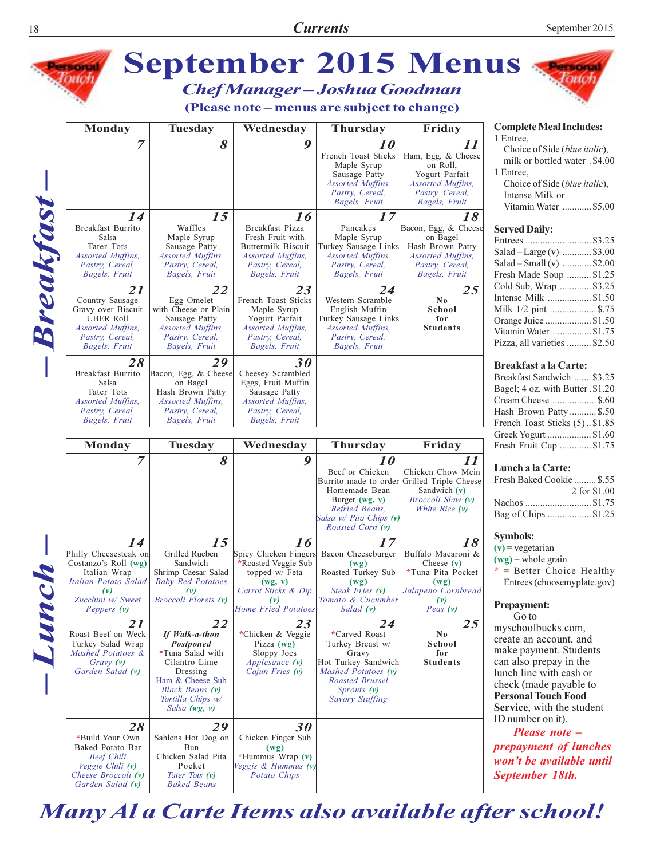

Many Al a Carte Items also available after school!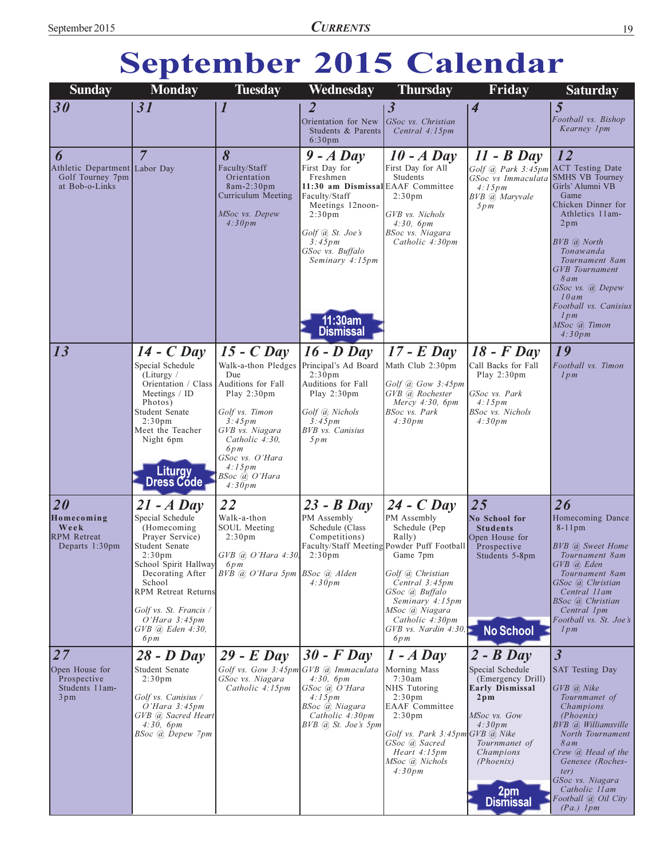# September 2015 Calendar

| <b>Sunday</b>                                                       | <b>Monday</b>                                           | <b>Tuesday</b>                                                                                 | Wednesday                                                                                                                                                                                | <b>Thursday</b>                                                                                                            | Friday                                                                                                       | <b>Saturday</b>                                                                                                                      |
|---------------------------------------------------------------------|---------------------------------------------------------|------------------------------------------------------------------------------------------------|------------------------------------------------------------------------------------------------------------------------------------------------------------------------------------------|----------------------------------------------------------------------------------------------------------------------------|--------------------------------------------------------------------------------------------------------------|--------------------------------------------------------------------------------------------------------------------------------------|
| 30                                                                  | 31                                                      | 1                                                                                              | 2                                                                                                                                                                                        | $\boldsymbol{\beta}$                                                                                                       | $\overline{\mathcal{A}}$                                                                                     | 5                                                                                                                                    |
|                                                                     |                                                         |                                                                                                | Orientation for New<br>Students & Parents<br>6:30 <sub>pm</sub>                                                                                                                          | GSoc vs. Christian<br>Central 4:15pm                                                                                       |                                                                                                              | Football vs. Bishop<br>Kearney 1pm                                                                                                   |
| 6                                                                   | $\overline{7}$                                          | 8                                                                                              | $9 - A$ Day                                                                                                                                                                              | $10 - A$ Day                                                                                                               | $11 - B$ Day                                                                                                 | 12                                                                                                                                   |
| Athletic Department Labor Day<br>Golf Tourney 7pm<br>at Bob-o-Links |                                                         | Faculty/Staff<br>Orientation<br>$8am-2:30pm$<br>Curriculum Meeting<br>MSoc vs. Depew<br>4:30pm | First Day for<br>Freshmen<br>11:30 am Dismissal EAAF Committee<br>Faculty/Staff<br>Meetings 12noon-<br>2:30 <sub>pm</sub><br>Golf @ St. Joe's<br>$3:45 \, \text{pm}$<br>GSoc vs. Buffalo | First Day for All<br>Students<br>2:30 <sub>pm</sub><br>GVB vs. Nichols<br>4:30, 6pm<br>BSoc vs. Niagara<br>Catholic 4:30pm | Golf @ Park 3:45pm ACT Testing Date<br>GSoc vs Immaculata SMHS VB Tourney<br>4:15pm<br>BVB @ Maryvale<br>5pm | Girls' Alumni VB<br>Game<br>Chicken Dinner for<br>Athletics 11am-<br>2pm<br>BVB @ North<br>Tonawanda                                 |
|                                                                     |                                                         |                                                                                                | Seminary 4:15pm<br>11:30am<br><b>Dismissal</b>                                                                                                                                           |                                                                                                                            |                                                                                                              | Tournament 8am<br><b>GVB</b> Tournament<br>8am<br>GSoc vs. @ Depew<br>10am<br>Football vs. Canisius<br>lpm<br>MSoc @ Timon<br>4:30pm |
| 13                                                                  | $14 - C$ Day                                            | $15 - C$ Day                                                                                   | $16$ - $D$ Day                                                                                                                                                                           | $17$ - E Day                                                                                                               | $18$ - $F$ Day                                                                                               | 19                                                                                                                                   |
|                                                                     | Special Schedule<br>(Liturgy)                           | Walk-a-thon Pledges<br>Due                                                                     | Principal's Ad Board<br>2:30 <sub>pm</sub>                                                                                                                                               | Math Club 2:30pm                                                                                                           | Call Backs for Fall<br>Play 2:30pm                                                                           | Football vs. Timon<br>lpm                                                                                                            |
|                                                                     | Orientation / Class Auditions for Fall<br>Meetings / ID | Play $2:30 \text{pm}$                                                                          | Auditions for Fall<br>Play 2:30pm                                                                                                                                                        | Golf @ Gow 3:45pm<br>GVB @ Rochester                                                                                       | GSoc vs. Park                                                                                                |                                                                                                                                      |
|                                                                     | Photos)<br>Student Senate                               | Golf vs. Timon                                                                                 | Golf @ Nichols                                                                                                                                                                           | Mercy $4:30$ , $6pm$<br>BSoc vs. Park                                                                                      | 4:15pm<br>BSoc vs. Nichols                                                                                   |                                                                                                                                      |
|                                                                     | 2:30 <sub>pm</sub><br>Meet the Teacher                  | 3:45pm<br>GVB vs. Niagara                                                                      | $3:45 \, pm$<br><b>BVB</b> vs. Canisius                                                                                                                                                  | 4:30pm                                                                                                                     | 4:30pm                                                                                                       |                                                                                                                                      |
|                                                                     | Night 6pm                                               | Catholic 4:30,                                                                                 | 5pm                                                                                                                                                                                      |                                                                                                                            |                                                                                                              |                                                                                                                                      |
|                                                                     | <b>Liturgy</b><br><b>Dress Códe</b>                     | 6pm<br>GSoc vs. O'Hara<br>4:15pm<br>BSoc @ O'Hara                                              |                                                                                                                                                                                          |                                                                                                                            |                                                                                                              |                                                                                                                                      |
|                                                                     |                                                         | 4:30pm                                                                                         |                                                                                                                                                                                          |                                                                                                                            |                                                                                                              |                                                                                                                                      |
| 20<br>Homecoming                                                    | $21 - A$ Day<br>Special Schedule                        | 22<br>Walk-a-thon                                                                              | $23 - B$ Day<br>PM Assembly                                                                                                                                                              | $24 - C$ Day<br>PM Assembly                                                                                                | 25<br>No School for                                                                                          | 26<br>Homecoming Dance                                                                                                               |
| Week<br><b>RPM</b> Retreat                                          | (Homecoming<br>Prayer Service)                          | SOUL Meeting<br>2:30 <sub>pm</sub>                                                             | Schedule (Class<br>Competitions)                                                                                                                                                         | Schedule (Pep<br>Rally)                                                                                                    | <b>Students</b><br>Open House for                                                                            | $8-11$ pm                                                                                                                            |
| Departs 1:30pm                                                      | Student Senate                                          |                                                                                                |                                                                                                                                                                                          | Faculty/Staff Meeting Powder Puff Football                                                                                 | Prospective                                                                                                  | BVB @ Sweet Home                                                                                                                     |
|                                                                     | 2:30 <sub>pm</sub><br>School Spirit Hallway 6pm         | $GVB$ @ O'Hara 4:30,                                                                           | 2:30 <sub>pm</sub>                                                                                                                                                                       | Game 7pm                                                                                                                   | Students 5-8pm                                                                                               | Tournament 8am<br>GVB @ Eden                                                                                                         |
|                                                                     | Decorating After<br>School                              | $BVB$ @ O'Hara 5pm $BSoc$ @ Alden                                                              | 4:30pm                                                                                                                                                                                   | Golf @ Christian<br>Central 3:45pm                                                                                         |                                                                                                              | Tournament 8am<br>GSoc @ Christian                                                                                                   |
|                                                                     | <b>RPM Retreat Returns</b>                              |                                                                                                |                                                                                                                                                                                          | GSoc (a) Buffalo<br>Seminary 4:15pm                                                                                        |                                                                                                              | Central 11 am<br>BSoc @ Christian                                                                                                    |
|                                                                     | Golf vs. St. Francis /<br>$O' Hara$ 3:45pm              |                                                                                                |                                                                                                                                                                                          | MSoc @ Niagara<br>Catholic 4:30pm                                                                                          |                                                                                                              | Central 1pm<br>Football vs. St. Joe's                                                                                                |
|                                                                     | $GVB$ $@$ Eden 4:30,<br>6pm                             |                                                                                                |                                                                                                                                                                                          | $GVB$ vs. Nardin 4:30,<br>6pm                                                                                              | <b>No School</b>                                                                                             | lpm                                                                                                                                  |
| 27                                                                  | $28 - D$ Day                                            | $29$ - E Day                                                                                   | $30$ - F Day                                                                                                                                                                             | $1 - A$ Day                                                                                                                | $2 - B$ Day                                                                                                  | $\mathfrak{Z}$                                                                                                                       |
| Open House for                                                      | Student Senate                                          | Golf vs. Gow 3:45pm GVB @ Immaculata                                                           |                                                                                                                                                                                          | Morning Mass                                                                                                               | Special Schedule                                                                                             | <b>SAT Testing Day</b>                                                                                                               |
| Prospective<br>Students 11am-                                       | 2:30 <sub>pm</sub>                                      | GSoc vs. Niagara<br>Catholic 4:15pm                                                            | 4:30, 6pm<br>GSoc @ O'Hara                                                                                                                                                               | 7:30am<br>NHS Tutoring                                                                                                     | (Emergency Drill)<br><b>Early Dismissal</b>                                                                  | $GVB$ ( <i>a</i> ) Nike                                                                                                              |
| $3 \text{pm}$                                                       | Golf vs. Canisius /<br>$O'Hara$ 3:45pm                  |                                                                                                | 4:15pm<br>BSoc @ Niagara                                                                                                                                                                 | $2:30 \text{pm}$<br><b>EAAF</b> Committee                                                                                  | $2p$ m                                                                                                       | Tournmanet of<br>Champions                                                                                                           |
|                                                                     | GVB @ Sacred Heart<br>4:30, 6pm                         |                                                                                                | Catholic 4:30pm<br>BVB @ St. Joe's 5pm                                                                                                                                                   | 2:30 <sub>pm</sub>                                                                                                         | MSoc vs. Gow<br>4:30pm                                                                                       | (Phoenix)<br>BVB @ Williamsville                                                                                                     |
|                                                                     | BSoc <i>(a)</i> Depew 7pm                               |                                                                                                |                                                                                                                                                                                          | Golf vs. Park $3:45pm$ GVB $@$ Nike<br>GSoc (a) Sacred                                                                     | Tournmanet of                                                                                                | North Tournament<br>8am                                                                                                              |
|                                                                     |                                                         |                                                                                                |                                                                                                                                                                                          | Heart 4:15pm<br>MSoc @ Nichols                                                                                             | Champions<br>(Phoenix)                                                                                       | Crew <i>a</i> Head of the<br>Genesee (Roches-                                                                                        |
|                                                                     |                                                         |                                                                                                |                                                                                                                                                                                          | 4:30pm                                                                                                                     |                                                                                                              | ter)<br>GSoc vs. Niagara                                                                                                             |
|                                                                     |                                                         |                                                                                                |                                                                                                                                                                                          |                                                                                                                            | 2pm<br><b>Dismissal</b>                                                                                      | Catholic 11 am<br>Football @ Oil City<br>$(Pa.)$ 1pm                                                                                 |